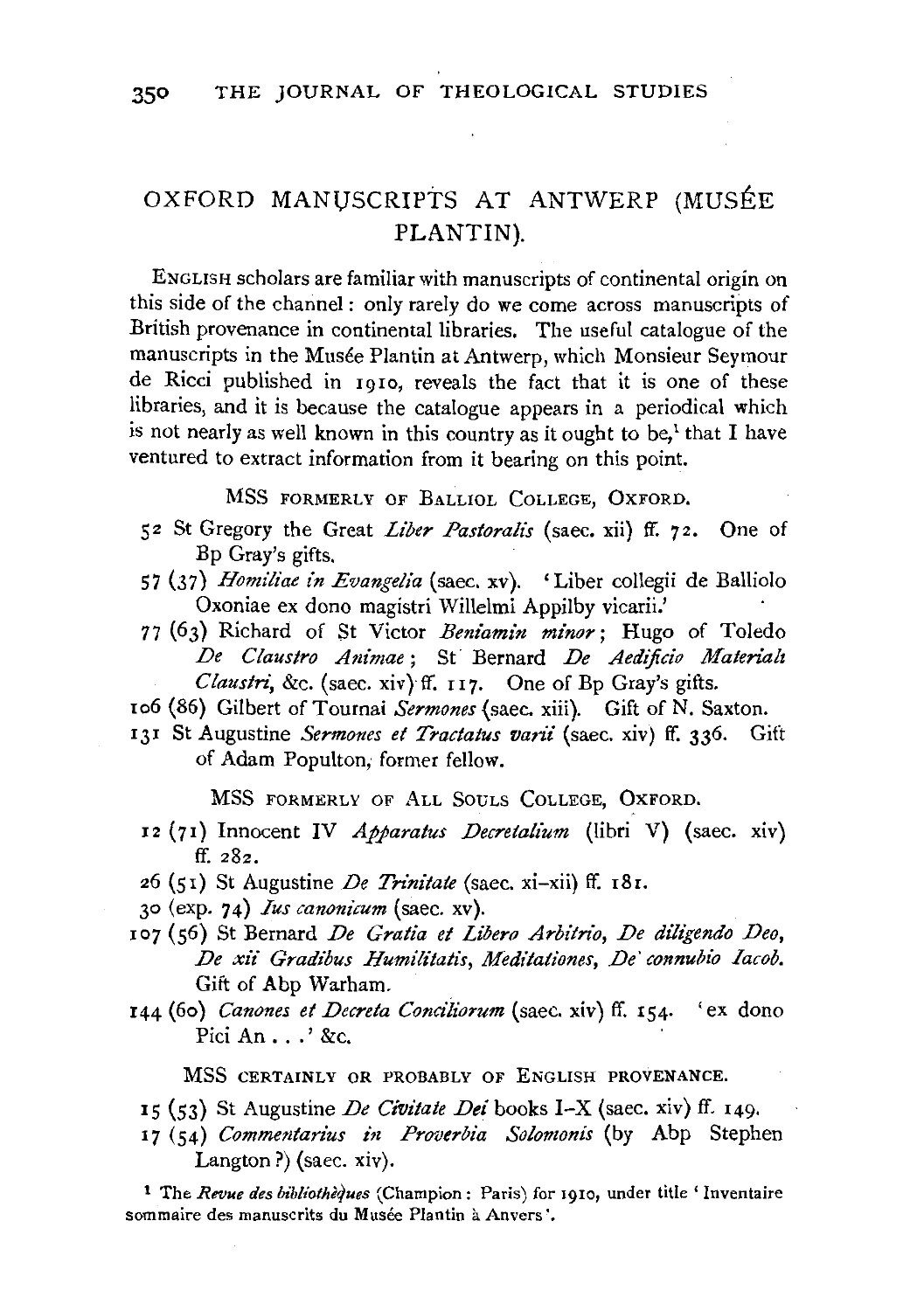## OXFORD MANUSCRIPTS AT ANTWERP (MUSÉE PLANTIN).

ENGLISH scholars are familiar with manuscripts of continental origin on this side of the channel: only rarely do we come across manuscripts of British provenance in continental libraries. The useful catalogue of the manuscripts in the Musée Plantin at Antwerp, which Monsieur Seymour de Ricci published in 1910, reveals the fact that it is one of these libraries, and it is because the catalogue appears in a periodical which is not nearly as well known in this country as it ought to be,<sup> $1$ </sup> that I have ventured to extract information from it bearing on this point.

MSS FORMERLY OF BALLIOL COLLEGE, OXFORD.

- 52 St Gregory the Great *Liber Pastoralis* (saec. xii) ff. 72. One of Bp Gray's gifts.
- 57 (37) *Homiliae in Evangelia* (saec. xv). 'Liber collegii de Balliolo Oxoniae ex dono magistri Willelmi Appilby vicarii.'
- 77 (63) Richard of St Victor *Beniamin minor;* Hugo of Toledo *De Claustro Animae;* St Bernard *De Aedijicio Materialt Claustri, &c.* (saec. xiv) ff. 117. One of Bp Gray's gifts.
- to6 (86) Gilbert of Tournai *Sermones* (saec. xiii). Gift of N. Saxton.
- 131 St Augustine *Sermones et Tractatus varii* (saec. xiv) ff. 336. Gift of Adam Populton; former fellow.

MSS FORMERLY OF ALL SOULS COLLEGE, OXFORD.

- 12 (71) Innocent IV *Apparatus Decretalium* (libri V) (saec. xiv) ff. 282.
- 26 (51) St Augustine *De Trinitate* (saec. xi-xii) ff. 18r.
- 30 (exp. 74) *Ius canoniCum* (saec. xv).
- 107 (56) St Bernard *De Gratia et Libero Arbitrio, De dilt'gendo Deo,*  De xii Gradibus Humilitatis, Meditationes, De' connubio Iacob. Gift of Abp Warham.
- 144 (6o) *Canones et Decreta Conciliorum* (saec. xiv) ff. 154· 'ex dono Pici An ... ' &c.

MSS CERTAINLY OR PROBABLY OF ENGLISH PROVENANCE.

- 15 (53) St Augustine *De Civitate Dei* books I-X (saec. xiv) ff. 149.
- 17 (54) *Commentarius in Proverbia Solomonis* (by Abp Stephen Langton?) (saec. xiv).

**<sup>1</sup>**The *Revue des bibliothe{jues* (Champion: Paris) for rgro, under title' Inventaire sommaire des manuscrits du Musée Plantin à Anvers'.